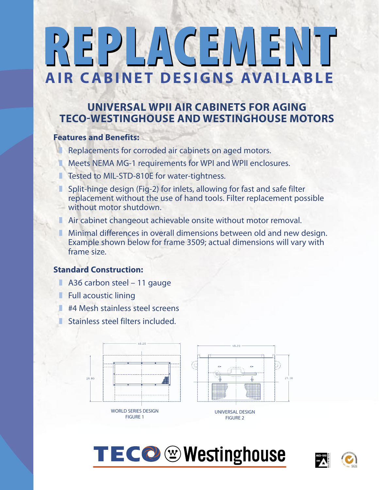# EPLACEMENT **AIR CABINET DESIGNS AVAILABLE**

### **UNIVERSAL WPII AIR CABINETS FOR AGING TECO-WESTINGHOUSE AND WESTINGHOUSE MOTORS**

#### **Features and Benefits:**

- Replacements for corroded air cabinets on aged motors.
- Meets NEMA MG-1 requirements for WPI and WPII enclosures.
- Tested to MIL-STD-810E for water-tightness.
- Split-hinge design (Fig-2) for inlets, allowing for fast and safe filter replacement without the use of hand tools. Filter replacement possible without motor shutdown.
- Air cabinet changeout achievable onsite without motor removal.
- Minimal differences in overall dimensions between old and new design. Example shown below for frame 3509; actual dimensions will vary with frame size.

### **Standard Construction:**

- A36 carbon steel 11 gauge
- Full acoustic lining
- **E** #4 Mesh stainless steel screens
- Stainless steel filters included.